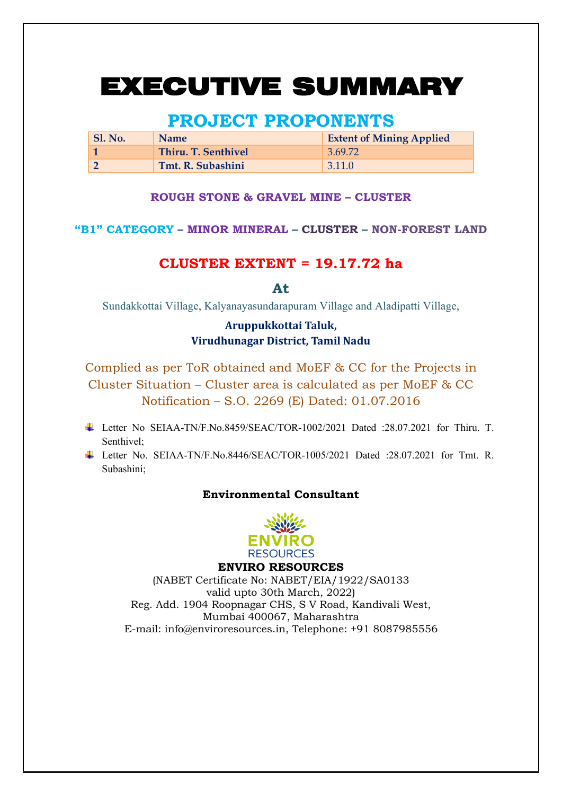# EXECUTIVE SUMMARY

## **PROJECT PROPONENTS**

| Sl. No. | <b>Name</b>         | <b>Extent of Mining Applied</b> |
|---------|---------------------|---------------------------------|
|         | Thiru. T. Senthivel | 3.69.72                         |
|         | Tmt. R. Subashini   | 3.11.0                          |

#### **ROUGH STONE & GRAVEL MINE – CLUSTER**

## **"B1" CATEGORY – MINOR MINERAL – CLUSTER – NON-FOREST LAND**

## **CLUSTER EXTENT = 19.17.72 ha**

**At** 

Sundakkottai Village, Kalyanayasundarapuram Village and Aladipatti Village,

## **Aruppukkottai Taluk, Virudhunagar District, Tamil Nadu**

Complied as per ToR obtained and MoEF & CC for the Projects in Cluster Situation – Cluster area is calculated as per MoEF & CC Notification – S.O. 2269 (E) Dated: 01.07.2016

- Letter No SEIAA-TN/F.No.8459/SEAC/TOR-1002/2021 Dated :28.07.2021 for Thiru. T. Senthivel;
- Letter No. SEIAA-TN/F.No.8446/SEAC/TOR-1005/2021 Dated :28.07.2021 for Tmt. R. Subashini;

#### **Environmental Consultant**



#### **ENVIRO RESOURCES**

(NABET Certificate No: NABET/EIA/1922/SA0133 valid upto 30th March, 2022) Reg. Add. 1904 Roopnagar CHS, S V Road, Kandivali West, Mumbai 400067, Maharashtra E-mail: info@enviroresources.in, Telephone: +91 8087985556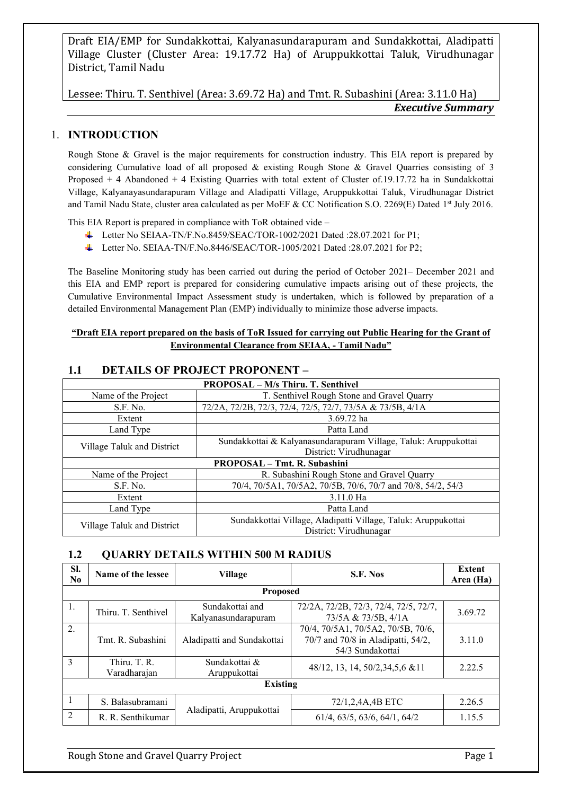Lessee: Thiru. T. Senthivel (Area: 3.69.72 Ha) and Tmt. R. Subashini (Area: 3.11.0 Ha) *Executive Summary*

## 1. **INTRODUCTION**

Rough Stone & Gravel is the major requirements for construction industry. This EIA report is prepared by considering Cumulative load of all proposed & existing Rough Stone & Gravel Quarries consisting of 3 Proposed + 4 Abandoned + 4 Existing Quarries with total extent of Cluster of.19.17.72 ha in Sundakkottai Village, Kalyanayasundarapuram Village and Aladipatti Village, Aruppukkottai Taluk, Virudhunagar District and Tamil Nadu State, cluster area calculated as per MoEF & CC Notification S.O. 2269(E) Dated 1st July 2016.

This EIA Report is prepared in compliance with ToR obtained vide –

- Letter No SEIAA-TN/F.No.8459/SEAC/TOR-1002/2021 Dated :28.07.2021 for P1;
- Letter No. SEIAA-TN/F.No.8446/SEAC/TOR-1005/2021 Dated :28.07.2021 for P2;

The Baseline Monitoring study has been carried out during the period of October 2021– December 2021 and this EIA and EMP report is prepared for considering cumulative impacts arising out of these projects, the Cumulative Environmental Impact Assessment study is undertaken, which is followed by preparation of a detailed Environmental Management Plan (EMP) individually to minimize those adverse impacts.

#### **"Draft EIA report prepared on the basis of ToR Issued for carrying out Public Hearing for the Grant of Environmental Clearance from SEIAA, - Tamil Nadu"**

| <b>PROPOSAL - M/s Thiru. T. Senthivel</b> |                                                                 |  |  |
|-------------------------------------------|-----------------------------------------------------------------|--|--|
| Name of the Project                       | T. Senthivel Rough Stone and Gravel Quarry                      |  |  |
| S.F. No.                                  | 72/2A, 72/2B, 72/3, 72/4, 72/5, 72/7, 73/5A & 73/5B, 4/1A       |  |  |
| Extent                                    | 3.69.72 ha                                                      |  |  |
| Land Type                                 | Patta Land                                                      |  |  |
|                                           | Sundakkottai & Kalyanasundarapuram Village, Taluk: Aruppukottai |  |  |
| Village Taluk and District                | District: Virudhunagar                                          |  |  |
|                                           | <b>PROPOSAL - Tmt. R. Subashini</b>                             |  |  |
| Name of the Project                       | R. Subashini Rough Stone and Gravel Quarry                      |  |  |
| S.F. No.                                  | 70/4, 70/5A1, 70/5A2, 70/5B, 70/6, 70/7 and 70/8, 54/2, 54/3    |  |  |
| Extent                                    | 3.11.0 Ha                                                       |  |  |
| Land Type                                 | Patta Land                                                      |  |  |
|                                           | Sundakkottai Village, Aladipatti Village, Taluk: Aruppukottai   |  |  |
| Village Taluk and District                | District: Virudhunagar                                          |  |  |

#### **1.1 DETAILS OF PROJECT PROPONENT –**

## **1.2 QUARRY DETAILS WITHIN 500 M RADIUS**

| SI.<br>N <sub>0</sub> | Name of the lessee           | <b>Village</b>                         | S.F. Nos                                                                                     | Extent<br>Area (Ha) |  |
|-----------------------|------------------------------|----------------------------------------|----------------------------------------------------------------------------------------------|---------------------|--|
|                       |                              | <b>Proposed</b>                        |                                                                                              |                     |  |
| 1.                    | Thiru. T. Senthivel          | Sundakottai and<br>Kalyanasundarapuram | 72/2A, 72/2B, 72/3, 72/4, 72/5, 72/7,<br>73/5A & 73/5B, 4/1A                                 | 3.69.72             |  |
| 2.                    | Tmt. R. Subashini            | Aladipatti and Sundakottai             | 70/4, 70/5A1, 70/5A2, 70/5B, 70/6,<br>70/7 and 70/8 in Aladipatti, 54/2,<br>54/3 Sundakottai | 3.11.0              |  |
| 3                     | Thiru. T. R.<br>Varadharajan | Sundakottai &<br>Aruppukottai          | 48/12, 13, 14, 50/2, 34, 5, 6 & 11                                                           | 2.22.5              |  |
| <b>Existing</b>       |                              |                                        |                                                                                              |                     |  |
|                       | S. Balasubramani             |                                        | 72/1,2,4A,4B ETC                                                                             | 2.26.5              |  |
| 2                     | R. R. Senthikumar            | Aladipatti, Aruppukottai               | 61/4, 63/5, 63/6, 64/1, 64/2                                                                 | 1.15.5              |  |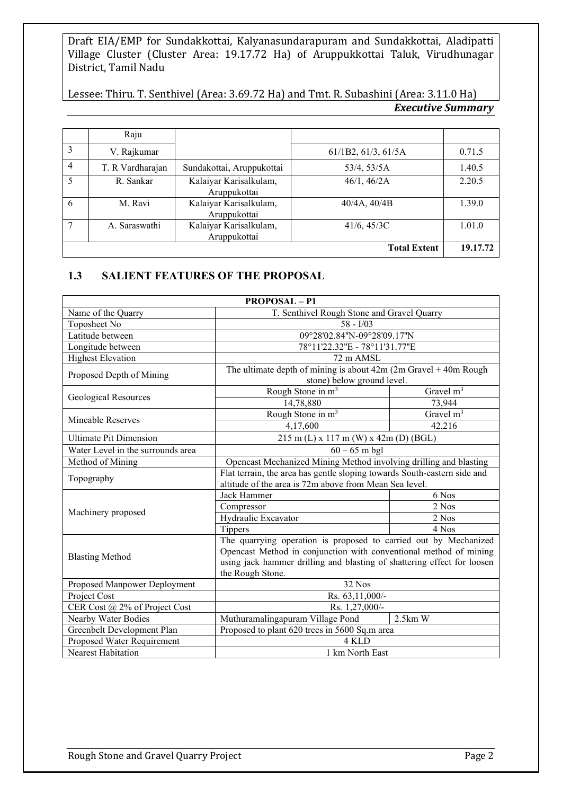Lessee: Thiru. T. Senthivel (Area: 3.69.72 Ha) and Tmt. R. Subashini (Area: 3.11.0 Ha) *Executive Summary*

|   | Raju             |                                        |                     |          |
|---|------------------|----------------------------------------|---------------------|----------|
| 3 | V. Rajkumar      |                                        | 61/1B2, 61/3, 61/5A | 0.71.5   |
| 4 | T. R Vardharajan | Sundakottai, Aruppukottai              | 53/4, 53/5A         | 1.40.5   |
|   | R. Sankar        | Kalaiyar Karisalkulam,<br>Aruppukottai | 46/1, 46/2A         | 2.20.5   |
| 6 | M. Ravi          | Kalaiyar Karisalkulam,<br>Aruppukottai | 40/4A, 40/4B        | 1.39.0   |
|   | A. Saraswathi    | Kalaiyar Karisalkulam,<br>Aruppukottai | 41/6, 45/3C         | 1.01.0   |
|   |                  |                                        | <b>Total Extent</b> | 19.17.72 |

## **1.3 SALIENT FEATURES OF THE PROPOSAL**

| <b>PROPOSAL - P1</b>              |                                                                                                                                                                                                                                      |             |  |
|-----------------------------------|--------------------------------------------------------------------------------------------------------------------------------------------------------------------------------------------------------------------------------------|-------------|--|
| Name of the Quarry                | T. Senthivel Rough Stone and Gravel Quarry                                                                                                                                                                                           |             |  |
| Toposheet No                      | $58 - 1/03$                                                                                                                                                                                                                          |             |  |
| Latitude between                  | 09°28'02.84"N-09°28'09.17"N                                                                                                                                                                                                          |             |  |
| Longitude between                 | 78°11'22.32"E - 78°11'31.77"E                                                                                                                                                                                                        |             |  |
| <b>Highest Elevation</b>          | 72 m AMSL                                                                                                                                                                                                                            |             |  |
| Proposed Depth of Mining          | The ultimate depth of mining is about $42m (2m$ Gravel $+ 40m$ Rough                                                                                                                                                                 |             |  |
|                                   | stone) below ground level.                                                                                                                                                                                                           |             |  |
| Geological Resources              | Rough Stone in m <sup>3</sup>                                                                                                                                                                                                        | Gravel $m3$ |  |
|                                   | 14,78,880                                                                                                                                                                                                                            | 73,944      |  |
| Mineable Reserves                 | Rough Stone in m <sup>3</sup>                                                                                                                                                                                                        | Gravel $m3$ |  |
|                                   | 4,17,600                                                                                                                                                                                                                             | 42,216      |  |
| <b>Ultimate Pit Dimension</b>     | $215$ m (L) x 117 m (W) x 42m (D) (BGL)                                                                                                                                                                                              |             |  |
| Water Level in the surrounds area | $60 - 65$ m bgl                                                                                                                                                                                                                      |             |  |
| Method of Mining                  | Opencast Mechanized Mining Method involving drilling and blasting                                                                                                                                                                    |             |  |
| Topography                        | Flat terrain, the area has gentle sloping towards South-eastern side and                                                                                                                                                             |             |  |
|                                   | altitude of the area is 72m above from Mean Sea level.                                                                                                                                                                               |             |  |
|                                   | Jack Hammer                                                                                                                                                                                                                          | 6 Nos       |  |
| Machinery proposed                | Compressor                                                                                                                                                                                                                           | 2 Nos       |  |
|                                   | Hydraulic Excavator                                                                                                                                                                                                                  | 2 Nos       |  |
|                                   | Tippers                                                                                                                                                                                                                              | 4 Nos       |  |
| <b>Blasting Method</b>            | The quarrying operation is proposed to carried out by Mechanized<br>Opencast Method in conjunction with conventional method of mining<br>using jack hammer drilling and blasting of shattering effect for loosen<br>the Rough Stone. |             |  |
| Proposed Manpower Deployment      | 32 Nos                                                                                                                                                                                                                               |             |  |
| Project Cost                      | Rs. 63,11,000/-                                                                                                                                                                                                                      |             |  |
| CER Cost @ 2% of Project Cost     | Rs. 1,27,000/-                                                                                                                                                                                                                       |             |  |
| Nearby Water Bodies               | Muthuramalingapuram Village Pond                                                                                                                                                                                                     | $2.5km$ W   |  |
| Greenbelt Development Plan        | Proposed to plant 620 trees in 5600 Sq.m area                                                                                                                                                                                        |             |  |
| Proposed Water Requirement        | 4 KLD                                                                                                                                                                                                                                |             |  |
| Nearest Habitation                | 1 km North East                                                                                                                                                                                                                      |             |  |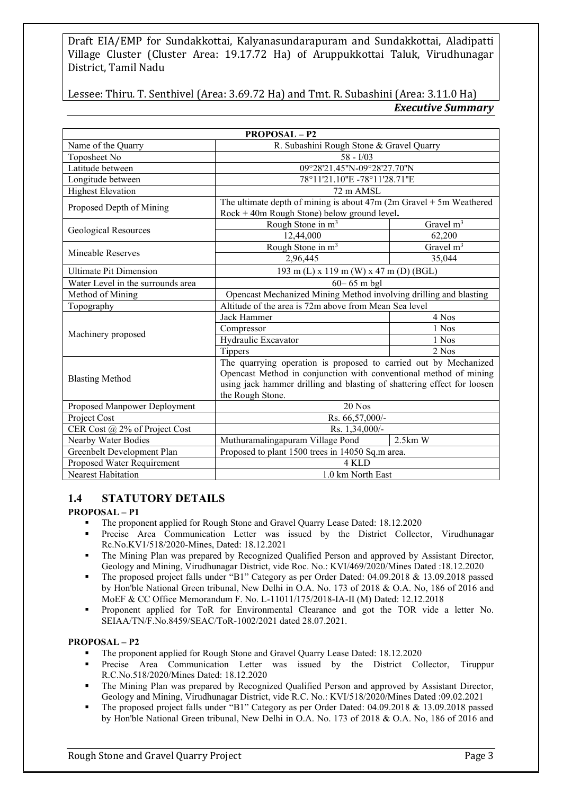Lessee: Thiru. T. Senthivel (Area: 3.69.72 Ha) and Tmt. R. Subashini (Area: 3.11.0 Ha) *Executive Summary*

| <b>PROPOSAL-P2</b>                                             |                                                                         |             |  |
|----------------------------------------------------------------|-------------------------------------------------------------------------|-------------|--|
| R. Subashini Rough Stone & Gravel Quarry<br>Name of the Quarry |                                                                         |             |  |
| Toposheet No                                                   | $58 - 1/03$                                                             |             |  |
| Latitude between                                               | 09°28'21.45"N-09°28'27.70"N                                             |             |  |
| Longitude between                                              | 78°11'21.10"E-78°11'28.71"E                                             |             |  |
| <b>Highest Elevation</b>                                       | 72 m AMSL                                                               |             |  |
|                                                                | The ultimate depth of mining is about $47m$ (2m Gravel + 5m Weathered   |             |  |
| Proposed Depth of Mining                                       | Rock + 40m Rough Stone) below ground level.                             |             |  |
|                                                                | Rough Stone in m <sup>3</sup>                                           | Gravel $m3$ |  |
| Geological Resources                                           | 12,44,000                                                               | 62,200      |  |
| Mineable Reserves                                              | Rough Stone in m <sup>3</sup>                                           | Gravel $m3$ |  |
|                                                                | 2,96,445                                                                | 35,044      |  |
| <b>Ultimate Pit Dimension</b>                                  | 193 m (L) x 119 m (W) x 47 m (D) (BGL)                                  |             |  |
| Water Level in the surrounds area                              | $60 - 65$ m bgl                                                         |             |  |
| Method of Mining                                               | Opencast Mechanized Mining Method involving drilling and blasting       |             |  |
| Topography                                                     | Altitude of the area is 72m above from Mean Sea level                   |             |  |
|                                                                | Jack Hammer                                                             | 4 Nos       |  |
| Machinery proposed                                             | Compressor                                                              | 1 Nos       |  |
|                                                                | Hydraulic Excavator                                                     | 1 Nos       |  |
|                                                                | Tippers                                                                 | 2 Nos       |  |
|                                                                | The quarrying operation is proposed to carried out by Mechanized        |             |  |
| <b>Blasting Method</b>                                         | Opencast Method in conjunction with conventional method of mining       |             |  |
|                                                                | using jack hammer drilling and blasting of shattering effect for loosen |             |  |
|                                                                | the Rough Stone.                                                        |             |  |
| Proposed Manpower Deployment                                   | 20 Nos                                                                  |             |  |
| Project Cost                                                   | Rs. 66,57,000/-                                                         |             |  |
| CER Cost @ 2% of Project Cost                                  | Rs. 1,34,000/-                                                          |             |  |
| Nearby Water Bodies                                            | Muthuramalingapuram Village Pond<br>$2.5km$ W                           |             |  |
| Greenbelt Development Plan                                     | Proposed to plant 1500 trees in 14050 Sq.m area.                        |             |  |
| Proposed Water Requirement                                     | 4 KLD                                                                   |             |  |
| Nearest Habitation                                             | 1.0 km North East                                                       |             |  |

## **1.4 STATUTORY DETAILS**

#### **PROPOSAL – P1**

- The proponent applied for Rough Stone and Gravel Quarry Lease Dated: 18.12.2020
- Precise Area Communication Letter was issued by the District Collector, Virudhunagar Rc.No.KV1/518/2020-Mines, Dated: 18.12.2021
- The Mining Plan was prepared by Recognized Qualified Person and approved by Assistant Director, Geology and Mining, Virudhunagar District, vide Roc. No.: KVI/469/2020/Mines Dated :18.12.2020
- The proposed project falls under "B1" Category as per Order Dated: 04.09.2018 & 13.09.2018 passed by Hon'ble National Green tribunal, New Delhi in O.A. No. 173 of 2018 & O.A. No, 186 of 2016 and MoEF & CC Office Memorandum F. No. L-11011/175/2018-IA-II (M) Dated: 12.12.2018
- Proponent applied for ToR for Environmental Clearance and got the TOR vide a letter No. SEIAA/TN/F.No.8459/SEAC/ToR-1002/2021 dated 28.07.2021.

#### **PROPOSAL – P2**

- The proponent applied for Rough Stone and Gravel Quarry Lease Dated: 18.12.2020
- Precise Area Communication Letter was issued by the District Collector, Tiruppur R.C.No.518/2020/Mines Dated: 18.12.2020
- **•** The Mining Plan was prepared by Recognized Qualified Person and approved by Assistant Director, Geology and Mining, Virudhunagar District, vide R.C. No.: KVI/518/2020/Mines Dated :09.02.2021
- The proposed project falls under "B1" Category as per Order Dated: 04.09.2018 & 13.09.2018 passed by Hon'ble National Green tribunal, New Delhi in O.A. No. 173 of 2018 & O.A. No, 186 of 2016 and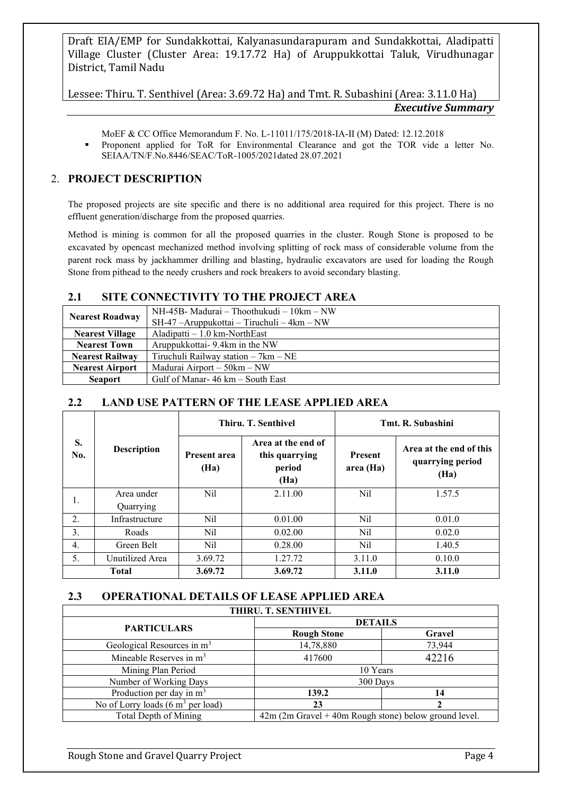Lessee: Thiru. T. Senthivel (Area: 3.69.72 Ha) and Tmt. R. Subashini (Area: 3.11.0 Ha) *Executive Summary*

MoEF & CC Office Memorandum F. No. L-11011/175/2018-IA-II (M) Dated: 12.12.2018

▪ Proponent applied for ToR for Environmental Clearance and got the TOR vide a letter No. SEIAA/TN/F.No.8446/SEAC/ToR-1005/2021dated 28.07.2021

## 2. **PROJECT DESCRIPTION**

The proposed projects are site specific and there is no additional area required for this project. There is no effluent generation/discharge from the proposed quarries.

Method is mining is common for all the proposed quarries in the cluster. Rough Stone is proposed to be excavated by opencast mechanized method involving splitting of rock mass of considerable volume from the parent rock mass by jackhammer drilling and blasting, hydraulic excavators are used for loading the Rough Stone from pithead to the needy crushers and rock breakers to avoid secondary blasting.

## **2.1 SITE CONNECTIVITY TO THE PROJECT AREA**

|                        | $NH-45B$ - Madurai – Thoothukudi – 10km – NW |
|------------------------|----------------------------------------------|
| <b>Nearest Roadway</b> | $SH-47$ -Aruppukottai – Tiruchuli – 4km – NW |
| <b>Nearest Village</b> | Aladipatti $-1.0$ km-NorthEast               |
| <b>Nearest Town</b>    | Aruppukkottai-9.4km in the NW                |
| <b>Nearest Railway</b> | Tiruchuli Railway station $-7km - NE$        |
| <b>Nearest Airport</b> | Madurai Airport – 50km – NW                  |
| <b>Seaport</b>         | Gulf of Manar-46 km – South East             |

## **2.2 LAND USE PATTERN OF THE LEASE APPLIED AREA**

|              | <b>Description</b> | Thiru. T. Senthivel         |                                                        | Tmt. R. Subashini          |                                                     |
|--------------|--------------------|-----------------------------|--------------------------------------------------------|----------------------------|-----------------------------------------------------|
| S.<br>No.    |                    | <b>Present area</b><br>(Ha) | Area at the end of<br>this quarrying<br>period<br>(Ha) | <b>Present</b><br>area(Ha) | Area at the end of this<br>quarrying period<br>(Ha) |
| 1.           | Area under         | Nil                         | 2.11.00                                                | Nil                        | 1.57.5                                              |
|              | Quarrying          |                             |                                                        |                            |                                                     |
| 2.           | Infrastructure     | Nil                         | 0.01.00                                                | Nil                        | 0.01.0                                              |
| 3.           | Roads              | Nil                         | 0.02.00                                                | Nil                        | 0.02.0                                              |
| 4.           | Green Belt         | Nil                         | 0.28.00                                                | Nil                        | 1.40.5                                              |
| 5.           | Unutilized Area    | 3.69.72                     | 1.27.72                                                | 3.11.0                     | 0.10.0                                              |
| <b>Total</b> |                    | 3.69.72                     | 3.69.72                                                | 3.11.0                     | 3.11.0                                              |

## **2.3 OPERATIONAL DETAILS OF LEASE APPLIED AREA**

| THIRU. T. SENTHIVEL                                  |                                                         |        |  |
|------------------------------------------------------|---------------------------------------------------------|--------|--|
| <b>PARTICULARS</b>                                   | <b>DETAILS</b>                                          |        |  |
|                                                      | <b>Rough Stone</b>                                      | Gravel |  |
| Geological Resources in m <sup>3</sup>               | 14,78,880                                               | 73,944 |  |
| Mineable Reserves in m <sup>3</sup>                  | 417600                                                  | 42216  |  |
| Mining Plan Period                                   | 10 Years                                                |        |  |
| Number of Working Days                               | 300 Days                                                |        |  |
| Production per day in $m3$                           | 139.2                                                   |        |  |
| No of Lorry loads $(6 \text{ m}^3 \text{ per load})$ | 23                                                      |        |  |
| Total Depth of Mining                                | $42m$ (2m Gravel + 40m Rough stone) below ground level. |        |  |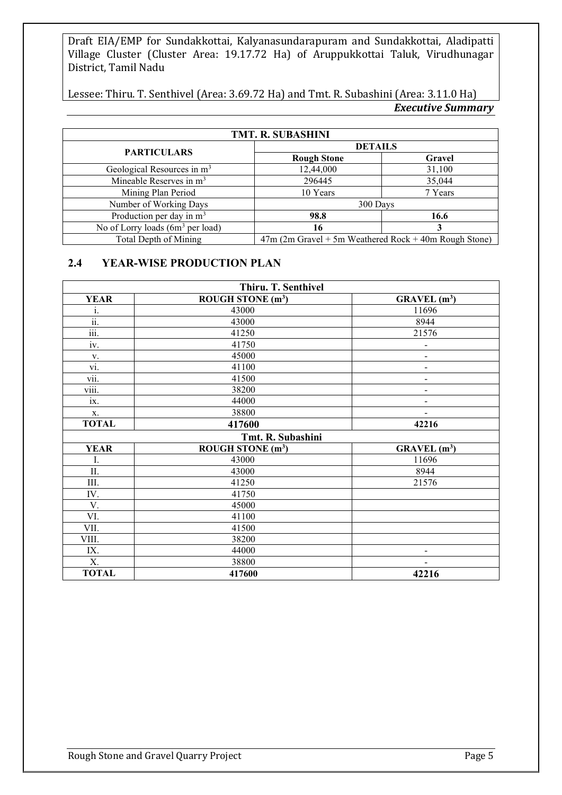Lessee: Thiru. T. Senthivel (Area: 3.69.72 Ha) and Tmt. R. Subashini (Area: 3.11.0 Ha) *Executive Summary*

| <b>TMT. R. SUBASHINI</b>               |                                                         |         |  |
|----------------------------------------|---------------------------------------------------------|---------|--|
| <b>PARTICULARS</b>                     | <b>DETAILS</b>                                          |         |  |
|                                        | <b>Rough Stone</b>                                      | Gravel  |  |
| Geological Resources in m <sup>3</sup> | 12,44,000                                               | 31,100  |  |
| Mineable Reserves in m <sup>3</sup>    | 296445                                                  | 35,044  |  |
| Mining Plan Period                     | 10 Years                                                | 7 Years |  |
| Number of Working Days                 | 300 Days                                                |         |  |
| Production per day in $m3$             | 98.8                                                    | 16.6    |  |
| No of Lorry loads $(6m3$ per load)     | 16                                                      |         |  |
| Total Depth of Mining                  | $47m$ (2m Gravel + 5m Weathered Rock + 40m Rough Stone) |         |  |

#### **2.4 YEAR-WISE PRODUCTION PLAN**

| Thiru. T. Senthivel              |                               |                              |  |
|----------------------------------|-------------------------------|------------------------------|--|
| <b>YEAR</b>                      | ROUGH STONE $(m^3)$           | GRAVEL(m <sup>3</sup> )      |  |
| i.                               | 43000                         | 11696                        |  |
| $\overline{\ddot{\mathbf{u}}}$ . | 43000                         | 8944                         |  |
| iii.                             | 41250                         | 21576                        |  |
| iv.                              | 41750                         | $\overline{\phantom{m}}$     |  |
| V.                               | 45000                         | $\qquad \qquad \blacksquare$ |  |
| $\overline{vi.}$                 | 41100                         | $\qquad \qquad \blacksquare$ |  |
| vii.                             | 41500                         | $\qquad \qquad \blacksquare$ |  |
| viii.                            | 38200                         | $\qquad \qquad \blacksquare$ |  |
| ix.                              | 44000                         | $\overline{\phantom{a}}$     |  |
| X.                               | 38800                         |                              |  |
| <b>TOTAL</b>                     | 417600                        | 42216                        |  |
|                                  | Tmt. R. Subashini             |                              |  |
| <b>YEAR</b>                      | ROUGH STONE (m <sup>3</sup> ) | GRAVEL(m <sup>3</sup> )      |  |
| I.                               | 43000                         | 11696                        |  |
| II.                              | 43000                         | 8944                         |  |
| III.                             | 41250                         | 21576                        |  |
| IV.                              | 41750                         |                              |  |
| V.                               | 45000                         |                              |  |
| VI.                              | 41100                         |                              |  |
| VII.                             | 41500                         |                              |  |
| VIII.                            | 38200                         |                              |  |
| IX.                              | 44000                         | $\qquad \qquad \blacksquare$ |  |
| X.                               | 38800                         |                              |  |
| <b>TOTAL</b>                     | 417600                        | 42216                        |  |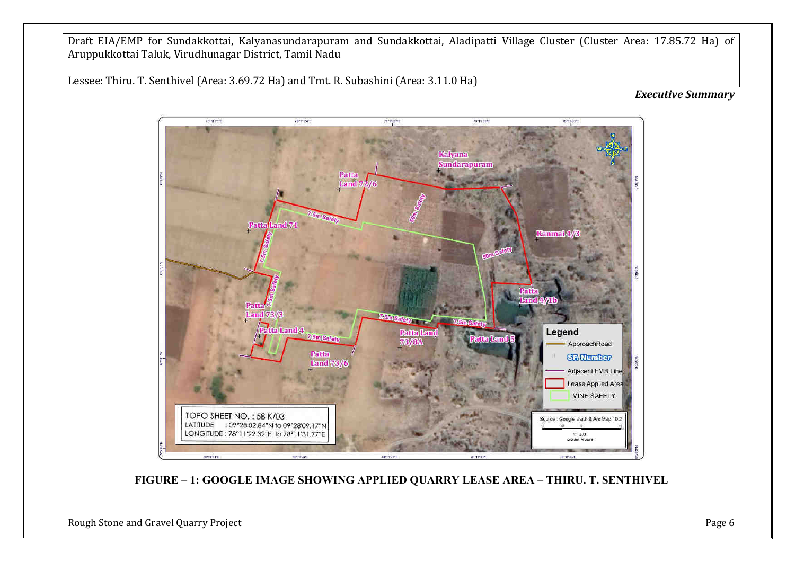Lessee: Thiru. T. Senthivel (Area: 3.69.72 Ha) and Tmt. R. Subashini (Area: 3.11.0 Ha)

#### *Executive Summary*



**FIGURE – 1: GOOGLE IMAGE SHOWING APPLIED QUARRY LEASE AREA – THIRU. T. SENTHIVEL** 

Rough Stone and Gravel Quarry Project **Page 6**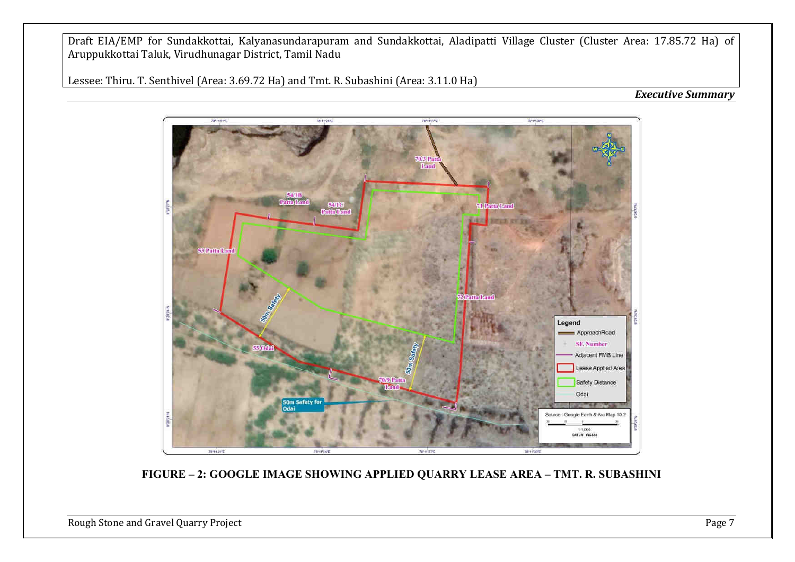Lessee: Thiru. T. Senthivel (Area: 3.69.72 Ha) and Tmt. R. Subashini (Area: 3.11.0 Ha)

#### *Executive Summary*



**FIGURE – 2: GOOGLE IMAGE SHOWING APPLIED QUARRY LEASE AREA – TMT. R. SUBASHINI** 

Rough Stone and Gravel Quarry Project **Page 7** and Stone and Gravel Quarry Project **Page 7**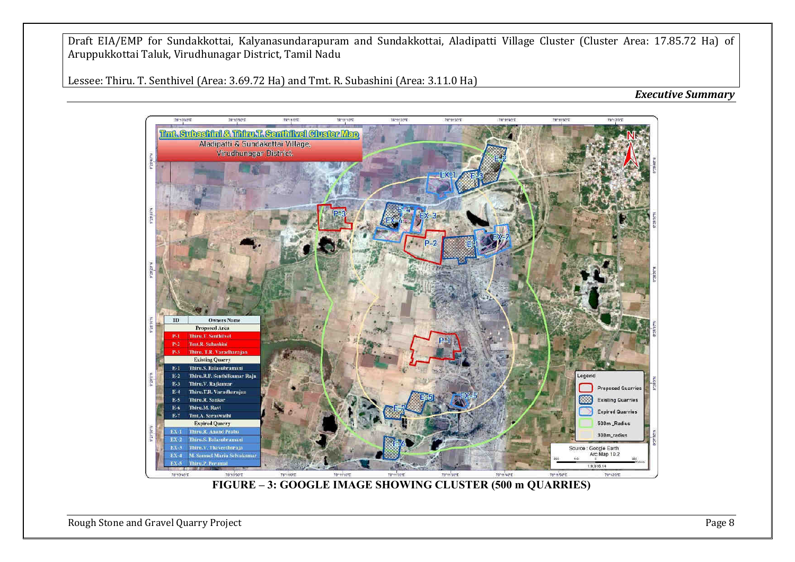Lessee: Thiru. T. Senthivel (Area: 3.69.72 Ha) and Tmt. R. Subashini (Area: 3.11.0 Ha)





Rough Stone and Gravel Quarry Project **Page 8**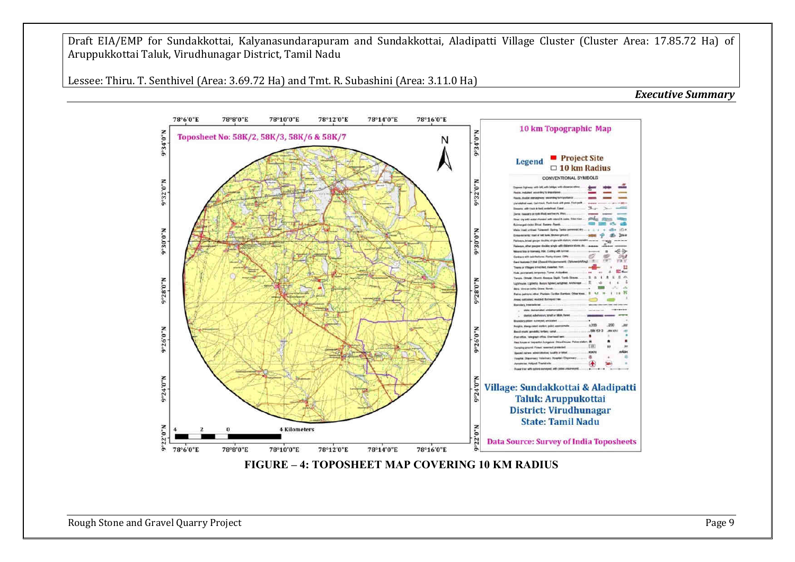Lessee: Thiru. T. Senthivel (Area: 3.69.72 Ha) and Tmt. R. Subashini (Area: 3.11.0 Ha)

*Executive Summary*



Rough Stone and Gravel Quarry Project **Page 9** and Contact Page 9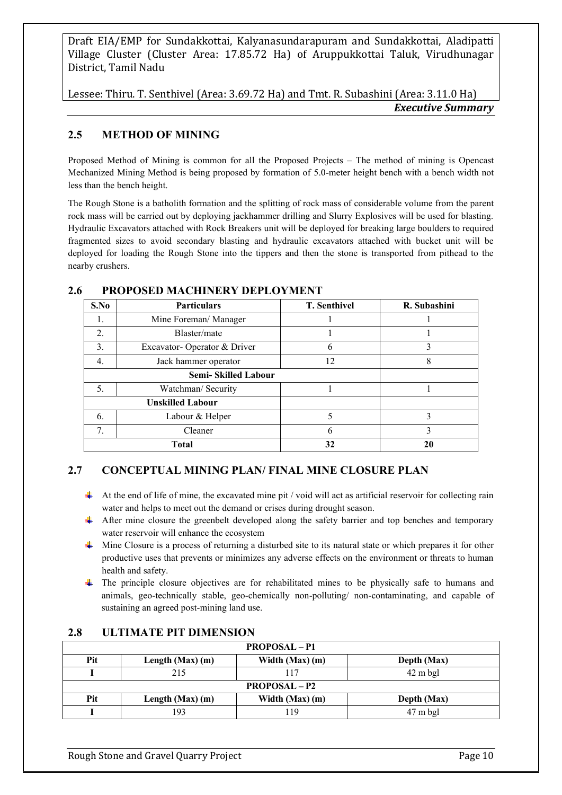Lessee: Thiru. T. Senthivel (Area: 3.69.72 Ha) and Tmt. R. Subashini (Area: 3.11.0 Ha) *Executive Summary*

## **2.5 METHOD OF MINING**

Proposed Method of Mining is common for all the Proposed Projects – The method of mining is Opencast Mechanized Mining Method is being proposed by formation of 5.0-meter height bench with a bench width not less than the bench height.

The Rough Stone is a batholith formation and the splitting of rock mass of considerable volume from the parent rock mass will be carried out by deploying jackhammer drilling and Slurry Explosives will be used for blasting. Hydraulic Excavators attached with Rock Breakers unit will be deployed for breaking large boulders to required fragmented sizes to avoid secondary blasting and hydraulic excavators attached with bucket unit will be deployed for loading the Rough Stone into the tippers and then the stone is transported from pithead to the nearby crushers.

## **2.6 PROPOSED MACHINERY DEPLOYMENT**

| S.No | <b>Particulars</b>          | <b>T. Senthivel</b> | R. Subashini |
|------|-----------------------------|---------------------|--------------|
| 1.   | Mine Foreman/ Manager       |                     |              |
| 2.   | Blaster/mate                |                     |              |
| 3.   | Excavator-Operator & Driver | 6                   | 3            |
| 4.   | Jack hammer operator        | 12                  | 8            |
|      | <b>Semi-Skilled Labour</b>  |                     |              |
| 5.   | Watchman/ Security          |                     |              |
|      | <b>Unskilled Labour</b>     |                     |              |
| 6.   | Labour & Helper             | 5                   | 3            |
| 7.   | Cleaner                     |                     | 3            |
|      | <b>Total</b>                | 32                  | 20           |

## **2.7 CONCEPTUAL MINING PLAN/ FINAL MINE CLOSURE PLAN**

- $\downarrow$  At the end of life of mine, the excavated mine pit / void will act as artificial reservoir for collecting rain water and helps to meet out the demand or crises during drought season.
- After mine closure the greenbelt developed along the safety barrier and top benches and temporary water reservoir will enhance the ecosystem
- $\ddot{\phantom{0}}$ Mine Closure is a process of returning a disturbed site to its natural state or which prepares it for other productive uses that prevents or minimizes any adverse effects on the environment or threats to human health and safety.
- <sup>+</sup> The principle closure objectives are for rehabilitated mines to be physically safe to humans and animals, geo-technically stable, geo-chemically non-polluting/ non-contaminating, and capable of sustaining an agreed post-mining land use.

| <b>PROPOSAL</b> – P1 |                      |                 |                    |  |  |  |
|----------------------|----------------------|-----------------|--------------------|--|--|--|
| Pit                  | Length $(Max)$ (m)   | Width (Max) (m) | Depth (Max)        |  |  |  |
|                      | 215                  | 17،             | $42 \text{ m}$ bgl |  |  |  |
|                      | <b>PROPOSAL</b> – P2 |                 |                    |  |  |  |
| Pit                  | Length $(Max)$ (m)   | Width (Max) (m) | Depth (Max)        |  |  |  |
|                      | 193                  | 19              | $47 \text{ m}$ bgl |  |  |  |

#### **2.8 ULTIMATE PIT DIMENSION**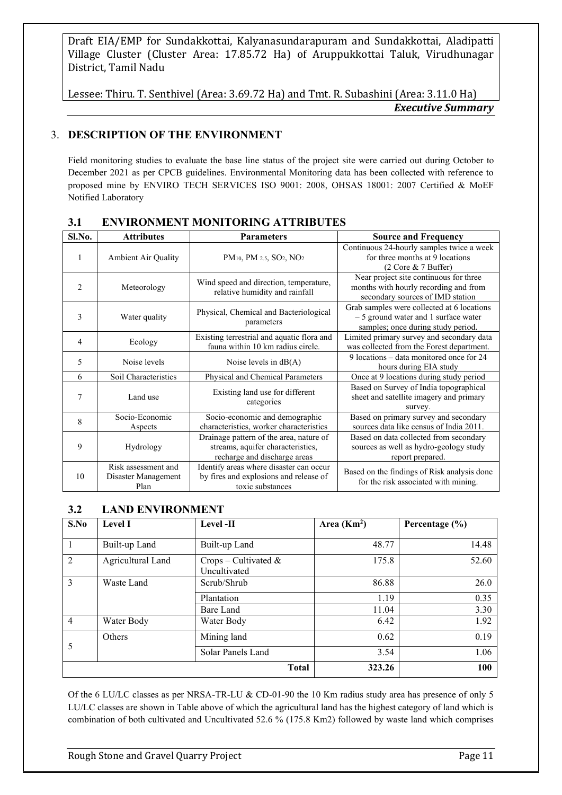Lessee: Thiru. T. Senthivel (Area: 3.69.72 Ha) and Tmt. R. Subashini (Area: 3.11.0 Ha) *Executive Summary*

## 3. **DESCRIPTION OF THE ENVIRONMENT**

Field monitoring studies to evaluate the base line status of the project site were carried out during October to December 2021 as per CPCB guidelines. Environmental Monitoring data has been collected with reference to proposed mine by ENVIRO TECH SERVICES ISO 9001: 2008, OHSAS 18001: 2007 Certified & MoEF Notified Laboratory

| Sl.No.         | <b>Attributes</b>                                  | <b>Parameters</b>                                                                                            | <b>Source and Frequency</b>                                                                                               |
|----------------|----------------------------------------------------|--------------------------------------------------------------------------------------------------------------|---------------------------------------------------------------------------------------------------------------------------|
| $\mathbf{1}$   | Ambient Air Quality                                | $PM_{10}$ , PM $_{2.5}$ , SO <sub>2</sub> , NO <sub>2</sub>                                                  | Continuous 24-hourly samples twice a week<br>for three months at 9 locations<br>$(2 \text{ Core } \& 7 \text{ Buffer})$   |
| $\overline{2}$ | Meteorology                                        | Wind speed and direction, temperature,<br>relative humidity and rainfall                                     | Near project site continuous for three<br>months with hourly recording and from<br>secondary sources of IMD station       |
| 3              | Water quality                                      | Physical, Chemical and Bacteriological<br>parameters                                                         | Grab samples were collected at 6 locations<br>$-5$ ground water and 1 surface water<br>samples; once during study period. |
| 4              | Ecology                                            | Existing terrestrial and aquatic flora and<br>fauna within 10 km radius circle.                              | Limited primary survey and secondary data<br>was collected from the Forest department.                                    |
| 5              | Noise levels                                       | Noise levels in $dB(A)$                                                                                      | 9 locations – data monitored once for 24<br>hours during EIA study                                                        |
| 6              | Soil Characteristics                               | Physical and Chemical Parameters                                                                             | Once at 9 locations during study period                                                                                   |
| $\tau$         | Land use                                           | Existing land use for different<br>categories                                                                | Based on Survey of India topographical<br>sheet and satellite imagery and primary<br>survey.                              |
| 8              | Socio-Economic<br>Aspects                          | Socio-economic and demographic<br>characteristics, worker characteristics                                    | Based on primary survey and secondary<br>sources data like census of India 2011.                                          |
| 9              | Hydrology                                          | Drainage pattern of the area, nature of<br>streams, aquifer characteristics,<br>recharge and discharge areas | Based on data collected from secondary<br>sources as well as hydro-geology study<br>report prepared.                      |
| 10             | Risk assessment and<br>Disaster Management<br>Plan | Identify areas where disaster can occur<br>by fires and explosions and release of<br>toxic substances        | Based on the findings of Risk analysis done<br>for the risk associated with mining.                                       |

#### **3.1 ENVIRONMENT MONITORING ATTRIBUTES**

## **3.2 LAND ENVIRONMENT**

| S.No           | <b>Level I</b>    | Level -II                               | Area $(Km2)$ | Percentage (%) |
|----------------|-------------------|-----------------------------------------|--------------|----------------|
|                | Built-up Land     | Built-up Land                           | 48.77        | 14.48          |
| $\overline{2}$ | Agricultural Land | $Crops - Cultivated \&$<br>Uncultivated | 175.8        | 52.60          |
| 3              | Waste Land        | Scrub/Shrub                             | 86.88        | 26.0           |
|                |                   | Plantation                              | 1.19         | 0.35           |
|                |                   | Bare Land                               | 11.04        | 3.30           |
| $\overline{4}$ | Water Body        | Water Body                              | 6.42         | 1.92           |
|                | Others            | Mining land                             | 0.62         | 0.19           |
| 5              |                   | Solar Panels Land                       | 3.54         | 1.06           |
|                |                   | <b>Total</b>                            | 323.26       | 100            |

Of the 6 LU/LC classes as per NRSA-TR-LU & CD-01-90 the 10 Km radius study area has presence of only 5 LU/LC classes are shown in Table above of which the agricultural land has the highest category of land which is combination of both cultivated and Uncultivated 52.6 % (175.8 Km2) followed by waste land which comprises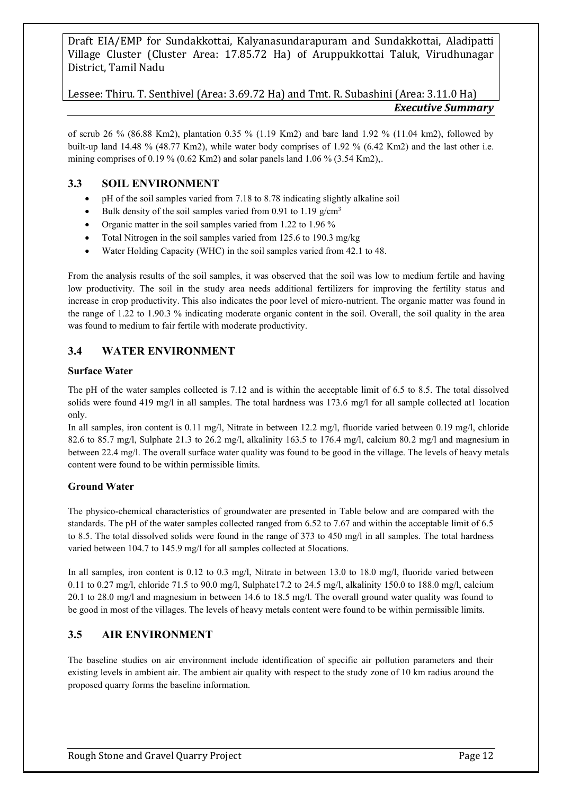Lessee: Thiru. T. Senthivel (Area: 3.69.72 Ha) and Tmt. R. Subashini (Area: 3.11.0 Ha) *Executive Summary*

of scrub 26 % (86.88 Km2), plantation 0.35 % (1.19 Km2) and bare land 1.92 % (11.04 km2), followed by built-up land 14.48 % (48.77 Km2), while water body comprises of 1.92 % (6.42 Km2) and the last other i.e. mining comprises of 0.19 % (0.62 Km2) and solar panels land 1.06 % (3.54 Km2),.

## **3.3 SOIL ENVIRONMENT**

- pH of the soil samples varied from 7.18 to 8.78 indicating slightly alkaline soil
- Bulk density of the soil samples varied from 0.91 to 1.19  $g/cm<sup>3</sup>$
- Organic matter in the soil samples varied from 1.22 to 1.96 %
- Total Nitrogen in the soil samples varied from 125.6 to 190.3 mg/kg
- Water Holding Capacity (WHC) in the soil samples varied from 42.1 to 48.

From the analysis results of the soil samples, it was observed that the soil was low to medium fertile and having low productivity. The soil in the study area needs additional fertilizers for improving the fertility status and increase in crop productivity. This also indicates the poor level of micro-nutrient. The organic matter was found in the range of 1.22 to 1.90.3 % indicating moderate organic content in the soil. Overall, the soil quality in the area was found to medium to fair fertile with moderate productivity.

## **3.4 WATER ENVIRONMENT**

#### **Surface Water**

The pH of the water samples collected is 7.12 and is within the acceptable limit of 6.5 to 8.5. The total dissolved solids were found 419 mg/l in all samples. The total hardness was 173.6 mg/l for all sample collected at1 location only.

In all samples, iron content is 0.11 mg/l, Nitrate in between 12.2 mg/l, fluoride varied between 0.19 mg/l, chloride 82.6 to 85.7 mg/l, Sulphate 21.3 to 26.2 mg/l, alkalinity 163.5 to 176.4 mg/l, calcium 80.2 mg/l and magnesium in between 22.4 mg/l. The overall surface water quality was found to be good in the village. The levels of heavy metals content were found to be within permissible limits.

## **Ground Water**

The physico-chemical characteristics of groundwater are presented in Table below and are compared with the standards. The pH of the water samples collected ranged from 6.52 to 7.67 and within the acceptable limit of 6.5 to 8.5. The total dissolved solids were found in the range of 373 to 450 mg/l in all samples. The total hardness varied between 104.7 to 145.9 mg/l for all samples collected at 5locations.

In all samples, iron content is 0.12 to 0.3 mg/l, Nitrate in between 13.0 to 18.0 mg/l, fluoride varied between 0.11 to 0.27 mg/l, chloride 71.5 to 90.0 mg/l, Sulphate17.2 to 24.5 mg/l, alkalinity 150.0 to 188.0 mg/l, calcium 20.1 to 28.0 mg/l and magnesium in between 14.6 to 18.5 mg/l. The overall ground water quality was found to be good in most of the villages. The levels of heavy metals content were found to be within permissible limits.

## **3.5 AIR ENVIRONMENT**

The baseline studies on air environment include identification of specific air pollution parameters and their existing levels in ambient air. The ambient air quality with respect to the study zone of 10 km radius around the proposed quarry forms the baseline information.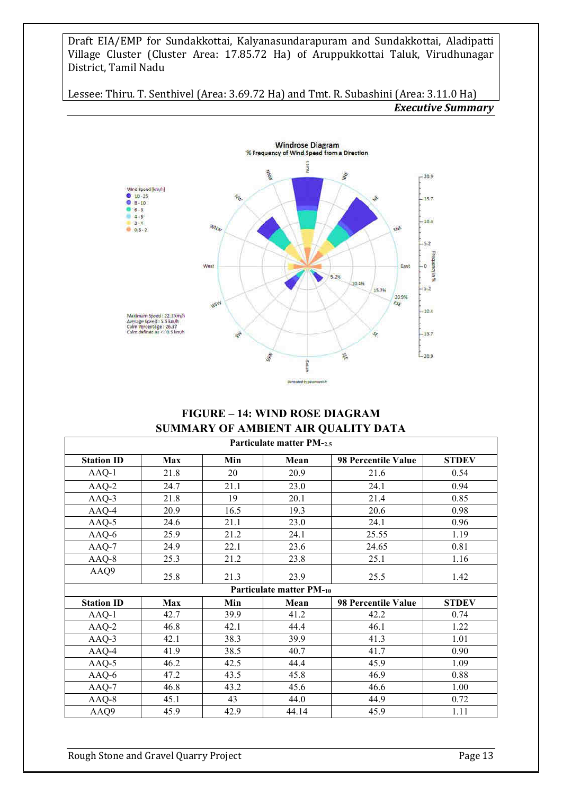Lessee: Thiru. T. Senthivel (Area: 3.69.72 Ha) and Tmt. R. Subashini (Area: 3.11.0 Ha) *Executive Summary*



## **FIGURE – 14: WIND ROSE DIAGRAM SUMMARY OF AMBIENT AIR QUALITY DATA**

| Particulate matter PM-2.5 |            |      |                          |                     |              |  |  |
|---------------------------|------------|------|--------------------------|---------------------|--------------|--|--|
| <b>Station ID</b>         | Max        | Min  | Mean                     | 98 Percentile Value | <b>STDEV</b> |  |  |
| AAQ-1                     | 21.8       | 20   | 20.9                     | 21.6                | 0.54         |  |  |
| $AAQ-2$                   | 24.7       | 21.1 | 23.0                     | 24.1                | 0.94         |  |  |
| AAQ-3                     | 21.8       | 19   | 20.1                     | 21.4                | 0.85         |  |  |
| AAQ-4                     | 20.9       | 16.5 | 19.3                     | 20.6                | 0.98         |  |  |
| $AAQ-5$                   | 24.6       | 21.1 | 23.0                     | 24.1                | 0.96         |  |  |
| AAQ-6                     | 25.9       | 21.2 | 24.1                     | 25.55               | 1.19         |  |  |
| $AAQ-7$                   | 24.9       | 22.1 | 23.6                     | 24.65               | 0.81         |  |  |
| $AAQ-8$                   | 25.3       | 21.2 | 23.8                     | 25.1                | 1.16         |  |  |
| AAQ9                      | 25.8       | 21.3 | 23.9                     | 25.5                | 1.42         |  |  |
|                           |            |      | Particulate matter PM-10 |                     |              |  |  |
| <b>Station ID</b>         | <b>Max</b> | Min  | Mean                     | 98 Percentile Value | <b>STDEV</b> |  |  |
| $AAQ-1$                   | 42.7       | 39.9 | 41.2                     | 42.2                | 0.74         |  |  |
| $AAQ-2$                   | 46.8       | 42.1 | 44.4                     | 46.1                | 1.22         |  |  |
| AAQ-3                     | 42.1       | 38.3 | 39.9                     | 41.3                | 1.01         |  |  |
| AAQ-4                     | 41.9       | 38.5 | 40.7                     | 41.7                | 0.90         |  |  |
| $AAQ-5$                   | 46.2       | 42.5 | 44.4                     | 45.9                | 1.09         |  |  |
| AAQ-6                     | 47.2       | 43.5 | 45.8                     | 46.9                | 0.88         |  |  |
| $AAQ-7$                   | 46.8       | 43.2 | 45.6                     | 46.6                | 1.00         |  |  |
| $AAQ-8$                   | 45.1       | 43   | 44.0                     | 44.9                | 0.72         |  |  |
| AAQ9                      | 45.9       | 42.9 | 44.14                    | 45.9                | 1.11         |  |  |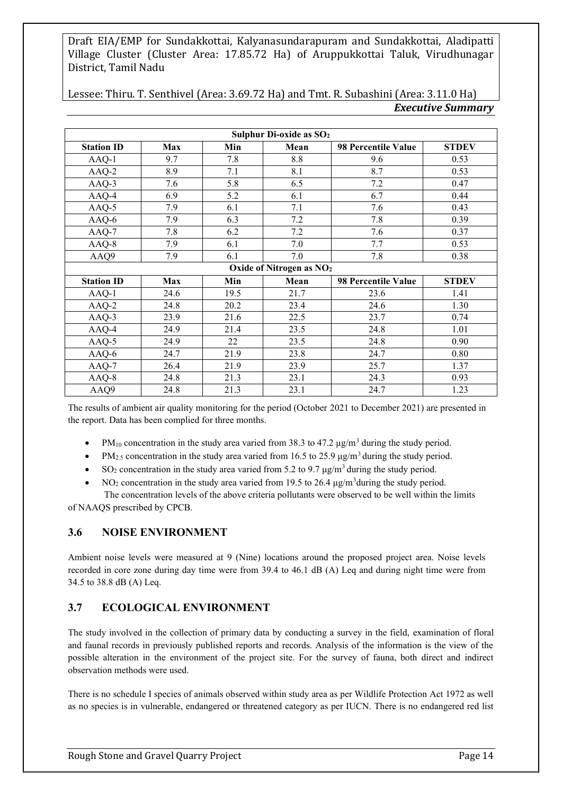| Sulphur Di-oxide as SO <sub>2</sub> |                                      |      |      |                     |              |  |  |  |
|-------------------------------------|--------------------------------------|------|------|---------------------|--------------|--|--|--|
| <b>Station ID</b>                   | <b>Max</b>                           | Min  | Mean | 98 Percentile Value | <b>STDEV</b> |  |  |  |
| $AAQ-1$                             | 9.7                                  | 7.8  | 8.8  | 9.6                 | 0.53         |  |  |  |
| AAQ-2                               | 8.9                                  | 7.1  | 8.1  | 8.7                 | 0.53         |  |  |  |
| AAQ-3                               | 7.6                                  | 5.8  | 6.5  | 7.2                 | 0.47         |  |  |  |
| AAQ-4                               | 6.9                                  | 5.2  | 6.1  | 6.7                 | 0.44         |  |  |  |
| AAQ-5                               | 7.9                                  | 6.1  | 7.1  | 7.6                 | 0.43         |  |  |  |
| AAQ-6                               | 7.9                                  | 6.3  | 7.2  | 7.8                 | 0.39         |  |  |  |
| AAQ-7                               | 7.8                                  | 6.2  | 7.2  | 7.6                 | 0.37         |  |  |  |
| AAQ-8                               | 7.9                                  | 6.1  | 7.0  | 7.7                 | 0.53         |  |  |  |
| AAQ9                                | 7.9                                  | 6.1  | 7.0  | 7.8                 | 0.38         |  |  |  |
|                                     | Oxide of Nitrogen as NO <sub>2</sub> |      |      |                     |              |  |  |  |
| <b>Station ID</b>                   | <b>Max</b>                           | Min  | Mean | 98 Percentile Value | <b>STDEV</b> |  |  |  |
| $AAQ-1$                             | 24.6                                 | 19.5 | 21.7 | 23.6                | 1.41         |  |  |  |
| AAQ-2                               | 24.8                                 | 20.2 | 23.4 | 24.6                | 1.30         |  |  |  |
| AAQ-3                               | 23.9                                 | 21.6 | 22.5 | 23.7                | 0.74         |  |  |  |
| AAQ-4                               | 24.9                                 | 21.4 | 23.5 | 24.8                | 1.01         |  |  |  |
| AAQ-5                               | 24.9                                 | 22   | 23.5 | 24.8                | 0.90         |  |  |  |
| AAQ-6                               | 24.7                                 | 21.9 | 23.8 | 24.7                | 0.80         |  |  |  |
| AAQ-7                               | 26.4                                 | 21.9 | 23.9 | 25.7                | 1.37         |  |  |  |
| AAQ-8                               | 24.8                                 | 21.3 | 23.1 | 24.3                | 0.93         |  |  |  |
| AAQ9                                | 24.8                                 | 21.3 | 23.1 | 24.7                | 1.23         |  |  |  |

Lessee: Thiru. T. Senthivel (Area: 3.69.72 Ha) and Tmt. R. Subashini (Area: 3.11.0 Ha) *Executive Summary*

The results of ambient air quality monitoring for the period (October 2021 to December 2021) are presented in the report. Data has been complied for three months.

- PM<sub>10</sub> concentration in the study area varied from 38.3 to 47.2  $\mu$ g/m<sup>3</sup> during the study period.
- $PM<sub>2.5</sub>$  concentration in the study area varied from 16.5 to 25.9  $\mu$ g/m<sup>3</sup> during the study period.
- $SO_2$  concentration in the study area varied from 5.2 to 9.7  $\mu$ g/m<sup>3</sup> during the study period.
- $NO<sub>2</sub>$  concentration in the study area varied from 19.5 to 26.4  $\mu$ g/m<sup>3</sup>during the study period. The concentration levels of the above criteria pollutants were observed to be well within the limits

of NAAQS prescribed by CPCB.

## **3.6 NOISE ENVIRONMENT**

Ambient noise levels were measured at 9 (Nine) locations around the proposed project area. Noise levels recorded in core zone during day time were from 39.4 to 46.1 dB (A) Leq and during night time were from 34.5 to 38.8 dB (A) Leq.

## **3.7 ECOLOGICAL ENVIRONMENT**

The study involved in the collection of primary data by conducting a survey in the field, examination of floral and faunal records in previously published reports and records. Analysis of the information is the view of the possible alteration in the environment of the project site. For the survey of fauna, both direct and indirect observation methods were used.

There is no schedule I species of animals observed within study area as per Wildlife Protection Act 1972 as well as no species is in vulnerable, endangered or threatened category as per IUCN. There is no endangered red list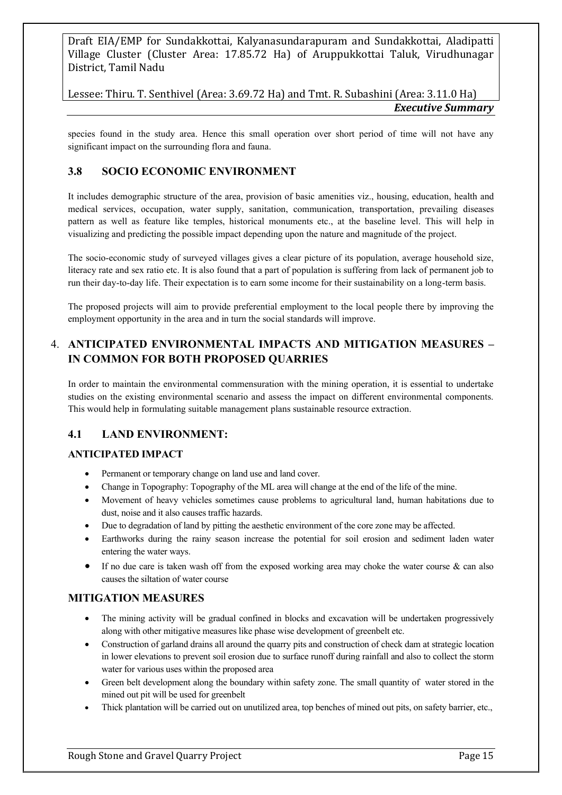Lessee: Thiru. T. Senthivel (Area: 3.69.72 Ha) and Tmt. R. Subashini (Area: 3.11.0 Ha) *Executive Summary*

species found in the study area. Hence this small operation over short period of time will not have any significant impact on the surrounding flora and fauna.

## **3.8 SOCIO ECONOMIC ENVIRONMENT**

It includes demographic structure of the area, provision of basic amenities viz., housing, education, health and medical services, occupation, water supply, sanitation, communication, transportation, prevailing diseases pattern as well as feature like temples, historical monuments etc., at the baseline level. This will help in visualizing and predicting the possible impact depending upon the nature and magnitude of the project.

The socio-economic study of surveyed villages gives a clear picture of its population, average household size, literacy rate and sex ratio etc. It is also found that a part of population is suffering from lack of permanent job to run their day-to-day life. Their expectation is to earn some income for their sustainability on a long-term basis.

The proposed projects will aim to provide preferential employment to the local people there by improving the employment opportunity in the area and in turn the social standards will improve.

## 4. **ANTICIPATED ENVIRONMENTAL IMPACTS AND MITIGATION MEASURES – IN COMMON FOR BOTH PROPOSED QUARRIES**

In order to maintain the environmental commensuration with the mining operation, it is essential to undertake studies on the existing environmental scenario and assess the impact on different environmental components. This would help in formulating suitable management plans sustainable resource extraction.

#### **4.1 LAND ENVIRONMENT:**

#### **ANTICIPATED IMPACT**

- Permanent or temporary change on land use and land cover.
- Change in Topography: Topography of the ML area will change at the end of the life of the mine.
- Movement of heavy vehicles sometimes cause problems to agricultural land, human habitations due to dust, noise and it also causes traffic hazards.
- Due to degradation of land by pitting the aesthetic environment of the core zone may be affected.
- Earthworks during the rainy season increase the potential for soil erosion and sediment laden water entering the water ways.
- If no due care is taken wash off from the exposed working area may choke the water course & can also causes the siltation of water course

#### **MITIGATION MEASURES**

- The mining activity will be gradual confined in blocks and excavation will be undertaken progressively along with other mitigative measures like phase wise development of greenbelt etc.
- Construction of garland drains all around the quarry pits and construction of check dam at strategic location in lower elevations to prevent soil erosion due to surface runoff during rainfall and also to collect the storm water for various uses within the proposed area
- Green belt development along the boundary within safety zone. The small quantity of water stored in the mined out pit will be used for greenbelt
- Thick plantation will be carried out on unutilized area, top benches of mined out pits, on safety barrier, etc.,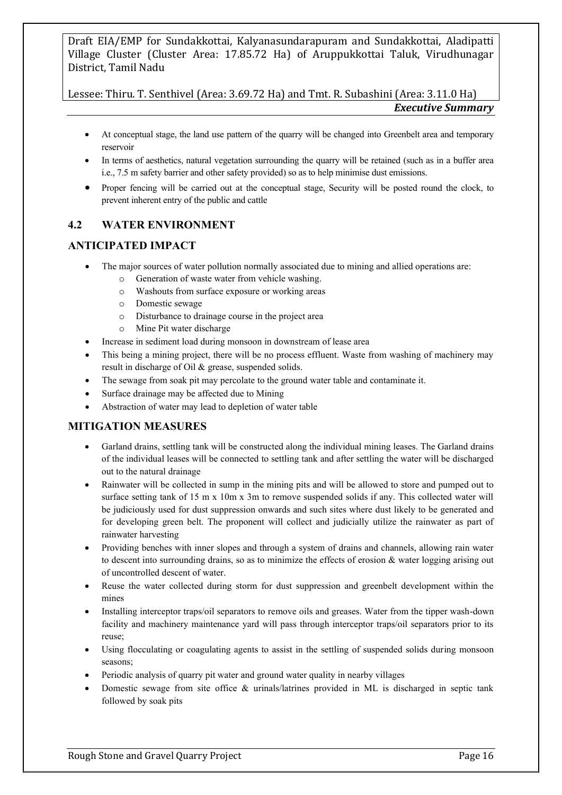Lessee: Thiru. T. Senthivel (Area: 3.69.72 Ha) and Tmt. R. Subashini (Area: 3.11.0 Ha) *Executive Summary*

- At conceptual stage, the land use pattern of the quarry will be changed into Greenbelt area and temporary reservoir
- In terms of aesthetics, natural vegetation surrounding the quarry will be retained (such as in a buffer area i.e., 7.5 m safety barrier and other safety provided) so as to help minimise dust emissions.
- Proper fencing will be carried out at the conceptual stage, Security will be posted round the clock, to prevent inherent entry of the public and cattle

## **4.2 WATER ENVIRONMENT**

## **ANTICIPATED IMPACT**

- The major sources of water pollution normally associated due to mining and allied operations are:
	- o Generation of waste water from vehicle washing.
	- o Washouts from surface exposure or working areas
	- o Domestic sewage
	- o Disturbance to drainage course in the project area
	- o Mine Pit water discharge
- Increase in sediment load during monsoon in downstream of lease area
- This being a mining project, there will be no process effluent. Waste from washing of machinery may result in discharge of Oil & grease, suspended solids.
- The sewage from soak pit may percolate to the ground water table and contaminate it.
- Surface drainage may be affected due to Mining
- Abstraction of water may lead to depletion of water table

## **MITIGATION MEASURES**

- Garland drains, settling tank will be constructed along the individual mining leases. The Garland drains of the individual leases will be connected to settling tank and after settling the water will be discharged out to the natural drainage
- Rainwater will be collected in sump in the mining pits and will be allowed to store and pumped out to surface setting tank of 15 m x 10m x 3m to remove suspended solids if any. This collected water will be judiciously used for dust suppression onwards and such sites where dust likely to be generated and for developing green belt. The proponent will collect and judicially utilize the rainwater as part of rainwater harvesting
- Providing benches with inner slopes and through a system of drains and channels, allowing rain water to descent into surrounding drains, so as to minimize the effects of erosion  $\&$  water logging arising out of uncontrolled descent of water.
- Reuse the water collected during storm for dust suppression and greenbelt development within the mines
- Installing interceptor traps/oil separators to remove oils and greases. Water from the tipper wash-down facility and machinery maintenance yard will pass through interceptor traps/oil separators prior to its reuse;
- Using flocculating or coagulating agents to assist in the settling of suspended solids during monsoon seasons;
- Periodic analysis of quarry pit water and ground water quality in nearby villages
- Domestic sewage from site office & urinals/latrines provided in ML is discharged in septic tank followed by soak pits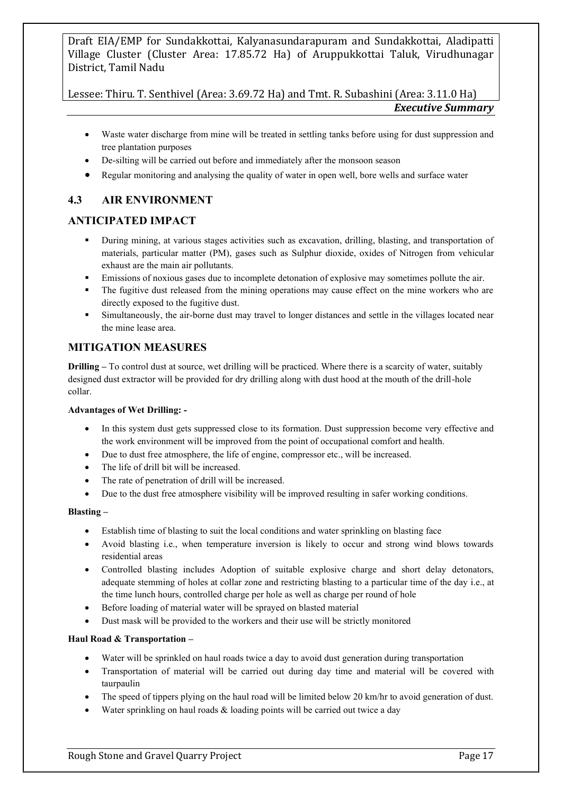Lessee: Thiru. T. Senthivel (Area: 3.69.72 Ha) and Tmt. R. Subashini (Area: 3.11.0 Ha) *Executive Summary*

- Waste water discharge from mine will be treated in settling tanks before using for dust suppression and tree plantation purposes
- De-silting will be carried out before and immediately after the monsoon season
- Regular monitoring and analysing the quality of water in open well, bore wells and surface water

## **4.3 AIR ENVIRONMENT**

## **ANTICIPATED IMPACT**

- During mining, at various stages activities such as excavation, drilling, blasting, and transportation of materials, particular matter (PM), gases such as Sulphur dioxide, oxides of Nitrogen from vehicular exhaust are the main air pollutants.
- **Emissions of noxious gases due to incomplete detonation of explosive may sometimes pollute the air.**
- The fugitive dust released from the mining operations may cause effect on the mine workers who are directly exposed to the fugitive dust.
- Simultaneously, the air-borne dust may travel to longer distances and settle in the villages located near the mine lease area.

#### **MITIGATION MEASURES**

**Drilling –** To control dust at source, wet drilling will be practiced. Where there is a scarcity of water, suitably designed dust extractor will be provided for dry drilling along with dust hood at the mouth of the drill-hole collar.

#### **Advantages of Wet Drilling: -**

- In this system dust gets suppressed close to its formation. Dust suppression become very effective and the work environment will be improved from the point of occupational comfort and health.
- Due to dust free atmosphere, the life of engine, compressor etc., will be increased.
- The life of drill bit will be increased.
- The rate of penetration of drill will be increased.
- Due to the dust free atmosphere visibility will be improved resulting in safer working conditions.

#### **Blasting –**

- Establish time of blasting to suit the local conditions and water sprinkling on blasting face
- Avoid blasting i.e., when temperature inversion is likely to occur and strong wind blows towards residential areas
- Controlled blasting includes Adoption of suitable explosive charge and short delay detonators, adequate stemming of holes at collar zone and restricting blasting to a particular time of the day i.e., at the time lunch hours, controlled charge per hole as well as charge per round of hole
- Before loading of material water will be sprayed on blasted material
- Dust mask will be provided to the workers and their use will be strictly monitored

#### **Haul Road & Transportation –**

- Water will be sprinkled on haul roads twice a day to avoid dust generation during transportation
- Transportation of material will be carried out during day time and material will be covered with taurpaulin
- The speed of tippers plying on the haul road will be limited below 20 km/hr to avoid generation of dust.
- Water sprinkling on haul roads  $\&$  loading points will be carried out twice a day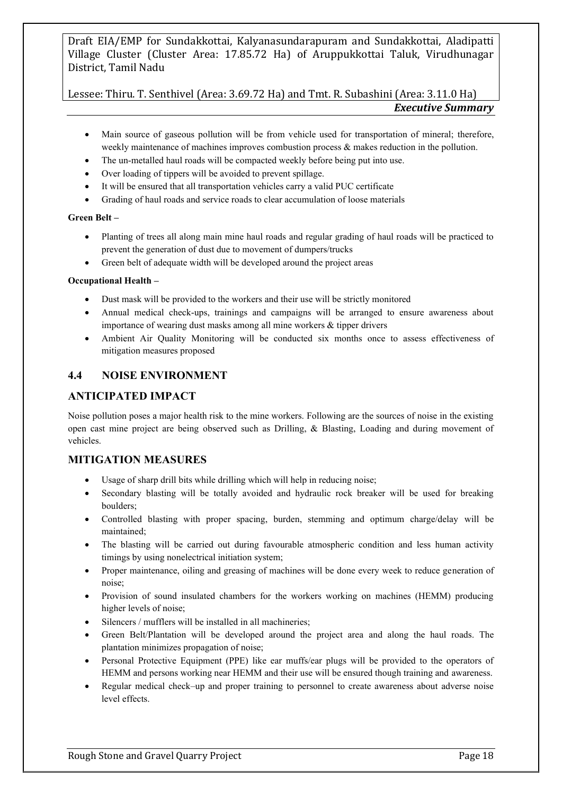Lessee: Thiru. T. Senthivel (Area: 3.69.72 Ha) and Tmt. R. Subashini (Area: 3.11.0 Ha) *Executive Summary*

- Main source of gaseous pollution will be from vehicle used for transportation of mineral; therefore, weekly maintenance of machines improves combustion process & makes reduction in the pollution.
- The un-metalled haul roads will be compacted weekly before being put into use.
- Over loading of tippers will be avoided to prevent spillage.
- It will be ensured that all transportation vehicles carry a valid PUC certificate
- Grading of haul roads and service roads to clear accumulation of loose materials

#### **Green Belt –**

- Planting of trees all along main mine haul roads and regular grading of haul roads will be practiced to prevent the generation of dust due to movement of dumpers/trucks
- Green belt of adequate width will be developed around the project areas

#### **Occupational Health –**

- Dust mask will be provided to the workers and their use will be strictly monitored
- Annual medical check-ups, trainings and campaigns will be arranged to ensure awareness about importance of wearing dust masks among all mine workers & tipper drivers
- Ambient Air Quality Monitoring will be conducted six months once to assess effectiveness of mitigation measures proposed

#### **4.4 NOISE ENVIRONMENT**

#### **ANTICIPATED IMPACT**

Noise pollution poses a major health risk to the mine workers. Following are the sources of noise in the existing open cast mine project are being observed such as Drilling, & Blasting, Loading and during movement of vehicles.

#### **MITIGATION MEASURES**

- Usage of sharp drill bits while drilling which will help in reducing noise;
- Secondary blasting will be totally avoided and hydraulic rock breaker will be used for breaking boulders;
- Controlled blasting with proper spacing, burden, stemming and optimum charge/delay will be maintained;
- The blasting will be carried out during favourable atmospheric condition and less human activity timings by using nonelectrical initiation system;
- Proper maintenance, oiling and greasing of machines will be done every week to reduce generation of noise;
- Provision of sound insulated chambers for the workers working on machines (HEMM) producing higher levels of noise;
- Silencers / mufflers will be installed in all machineries;
- Green Belt/Plantation will be developed around the project area and along the haul roads. The plantation minimizes propagation of noise;
- Personal Protective Equipment (PPE) like ear muffs/ear plugs will be provided to the operators of HEMM and persons working near HEMM and their use will be ensured though training and awareness.
- Regular medical check–up and proper training to personnel to create awareness about adverse noise level effects.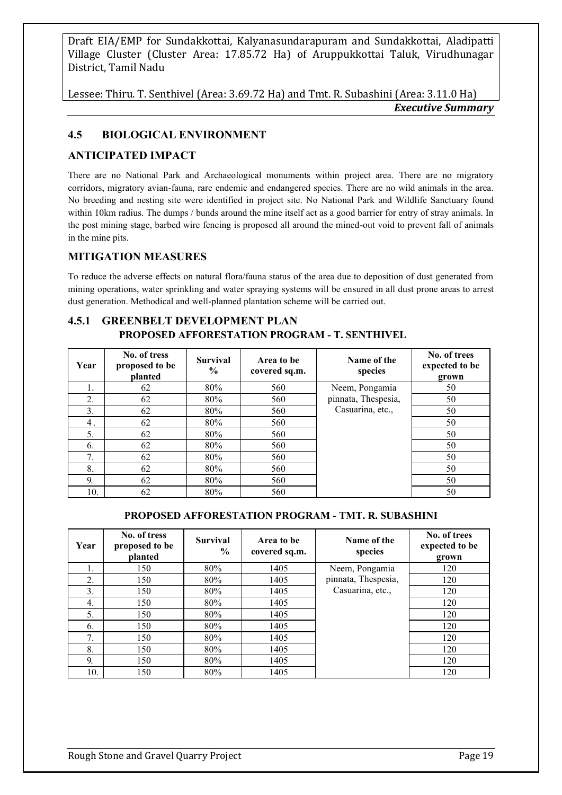Lessee: Thiru. T. Senthivel (Area: 3.69.72 Ha) and Tmt. R. Subashini (Area: 3.11.0 Ha) *Executive Summary*

## **4.5 BIOLOGICAL ENVIRONMENT**

## **ANTICIPATED IMPACT**

There are no National Park and Archaeological monuments within project area. There are no migratory corridors, migratory avian-fauna, rare endemic and endangered species. There are no wild animals in the area. No breeding and nesting site were identified in project site. No National Park and Wildlife Sanctuary found within 10km radius. The dumps / bunds around the mine itself act as a good barrier for entry of stray animals. In the post mining stage, barbed wire fencing is proposed all around the mined-out void to prevent fall of animals in the mine pits.

## **MITIGATION MEASURES**

To reduce the adverse effects on natural flora/fauna status of the area due to deposition of dust generated from mining operations, water sprinkling and water spraying systems will be ensured in all dust prone areas to arrest dust generation. Methodical and well-planned plantation scheme will be carried out.

## **4.5.1 GREENBELT DEVELOPMENT PLAN PROPOSED AFFORESTATION PROGRAM - T. SENTHIVEL**

| Year | No. of tress<br>proposed to be<br>planted | <b>Survival</b><br>$\frac{6}{9}$ | Area to be<br>covered sq.m. | Name of the<br>species | No. of trees<br>expected to be<br>grown |
|------|-------------------------------------------|----------------------------------|-----------------------------|------------------------|-----------------------------------------|
| 1.   | 62                                        | 80%                              | 560                         | Neem, Pongamia         | 50                                      |
| 2.   | 62                                        | 80%                              | 560                         | pinnata, Thespesia,    | 50                                      |
| 3.   | 62                                        | 80%                              | 560                         | Casuarina, etc.,       | 50                                      |
| 4.   | 62                                        | 80%                              | 560                         |                        | 50                                      |
| 5.   | 62                                        | 80%                              | 560                         |                        | 50                                      |
| 6.   | 62                                        | 80%                              | 560                         |                        | 50                                      |
| 7.   | 62                                        | 80%                              | 560                         |                        | 50                                      |
| 8.   | 62                                        | 80%                              | 560                         |                        | 50                                      |
| 9.   | 62                                        | 80%                              | 560                         |                        | 50                                      |
| 10.  | 62                                        | 80%                              | 560                         |                        | 50                                      |

#### **PROPOSED AFFORESTATION PROGRAM - TMT. R. SUBASHINI**

| Year | No. of tress<br>proposed to be<br>planted | <b>Survival</b><br>$\frac{6}{9}$ | Area to be<br>covered sq.m. | Name of the<br>species | No. of trees<br>expected to be<br>grown |
|------|-------------------------------------------|----------------------------------|-----------------------------|------------------------|-----------------------------------------|
| 1.   | 150                                       | 80%                              | 1405                        | Neem, Pongamia         | 120                                     |
| 2.   | 150                                       | 80%                              | 1405                        | pinnata, Thespesia,    | 120                                     |
| 3.   | 150                                       | 80%                              | 1405                        | Casuarina, etc.,       | 120                                     |
| 4.   | 150                                       | 80%                              | 1405                        |                        | 120                                     |
| 5.   | 150                                       | 80%                              | 1405                        |                        | 120                                     |
| 6.   | 150                                       | 80%                              | 1405                        |                        | 120                                     |
| 7.   | 150                                       | 80%                              | 1405                        |                        | 120                                     |
| 8.   | 150                                       | 80%                              | 1405                        |                        | 120                                     |
| 9.   | 150                                       | 80%                              | 1405                        |                        | 120                                     |
| 10.  | 150                                       | 80%                              | 1405                        |                        | 120                                     |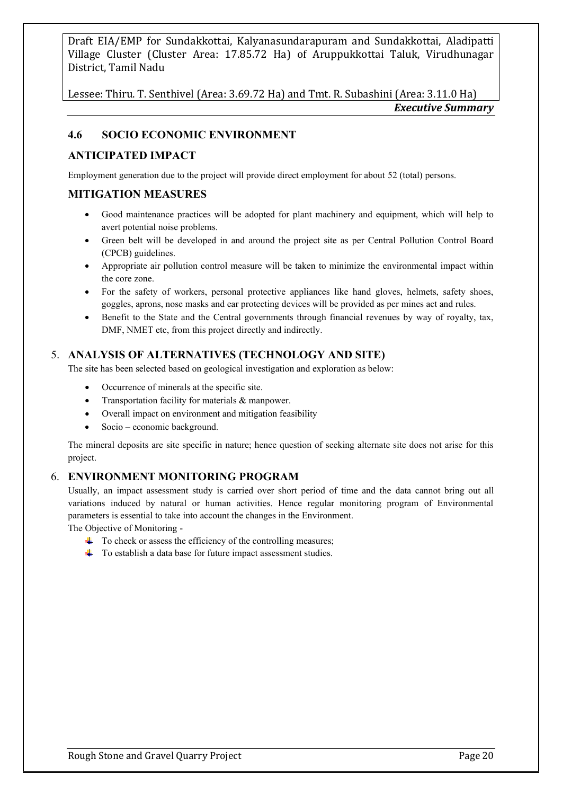Lessee: Thiru. T. Senthivel (Area: 3.69.72 Ha) and Tmt. R. Subashini (Area: 3.11.0 Ha) *Executive Summary*

#### **4.6 SOCIO ECONOMIC ENVIRONMENT**

#### **ANTICIPATED IMPACT**

Employment generation due to the project will provide direct employment for about 52 (total) persons.

#### **MITIGATION MEASURES**

- Good maintenance practices will be adopted for plant machinery and equipment, which will help to avert potential noise problems.
- Green belt will be developed in and around the project site as per Central Pollution Control Board (CPCB) guidelines.
- Appropriate air pollution control measure will be taken to minimize the environmental impact within the core zone.
- For the safety of workers, personal protective appliances like hand gloves, helmets, safety shoes, goggles, aprons, nose masks and ear protecting devices will be provided as per mines act and rules.
- Benefit to the State and the Central governments through financial revenues by way of royalty, tax, DMF, NMET etc, from this project directly and indirectly.

#### 5. **ANALYSIS OF ALTERNATIVES (TECHNOLOGY AND SITE)**

The site has been selected based on geological investigation and exploration as below:

- Occurrence of minerals at the specific site.
- Transportation facility for materials & manpower.
- Overall impact on environment and mitigation feasibility
- Socio economic background.

The mineral deposits are site specific in nature; hence question of seeking alternate site does not arise for this project.

#### 6. **ENVIRONMENT MONITORING PROGRAM**

Usually, an impact assessment study is carried over short period of time and the data cannot bring out all variations induced by natural or human activities. Hence regular monitoring program of Environmental parameters is essential to take into account the changes in the Environment.

The Objective of Monitoring -

- $\ddot{\phantom{1}}$  To check or assess the efficiency of the controlling measures;
- $\overline{\text{+}}$  To establish a data base for future impact assessment studies.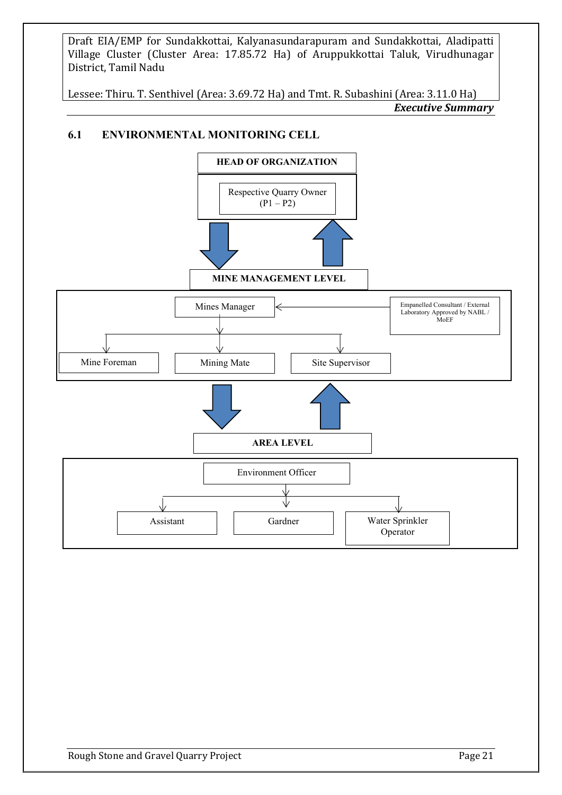Lessee: Thiru. T. Senthivel (Area: 3.69.72 Ha) and Tmt. R. Subashini (Area: 3.11.0 Ha) *Executive Summary*

## **6.1 ENVIRONMENTAL MONITORING CELL**

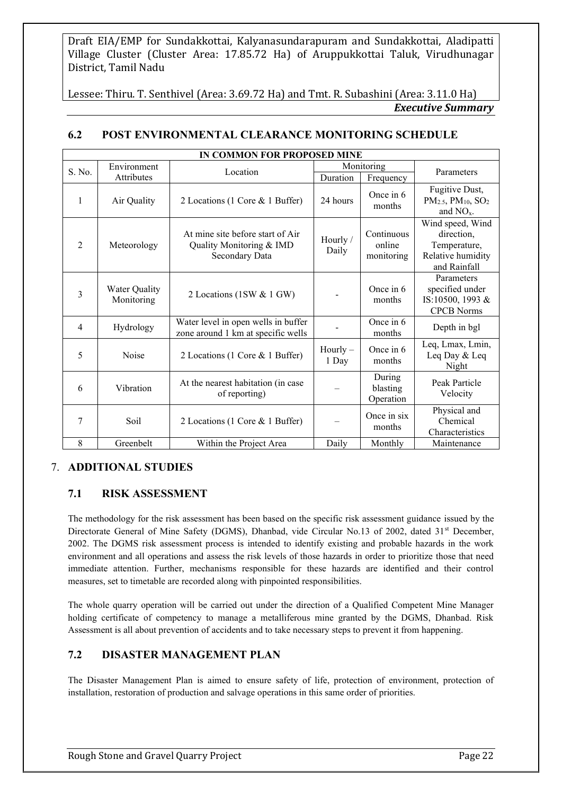Lessee: Thiru. T. Senthivel (Area: 3.69.72 Ha) and Tmt. R. Subashini (Area: 3.11.0 Ha) *Executive Summary*

|                | IN COMMON FOR PROPOSED MINE        |                                                                                |                     |                                    |                                                                                     |  |
|----------------|------------------------------------|--------------------------------------------------------------------------------|---------------------|------------------------------------|-------------------------------------------------------------------------------------|--|
| S. No.         | Environment                        | Location                                                                       |                     | Monitoring                         | Parameters                                                                          |  |
|                | <b>Attributes</b>                  |                                                                                | Duration            | Frequency                          |                                                                                     |  |
| $\mathbf{1}$   | Air Quality                        | 2 Locations (1 Core & 1 Buffer)                                                | 24 hours            | Once in 6<br>months                | Fugitive Dust,<br>$PM2.5, PM10, SO2$<br>and $NOx$ .                                 |  |
| $\overline{2}$ | Meteorology                        | At mine site before start of Air<br>Quality Monitoring & IMD<br>Secondary Data | Hourly /<br>Daily   | Continuous<br>online<br>monitoring | Wind speed, Wind<br>direction,<br>Temperature,<br>Relative humidity<br>and Rainfall |  |
| 3              | <b>Water Quality</b><br>Monitoring | 2 Locations (1SW & 1 GW)                                                       |                     | Once in 6<br>months                | Parameters<br>specified under<br>IS:10500, 1993 &<br><b>CPCB Norms</b>              |  |
| $\overline{4}$ | Hydrology                          | Water level in open wells in buffer<br>zone around 1 km at specific wells      |                     | Once in 6<br>months                | Depth in bgl                                                                        |  |
| 5              | Noise                              | 2 Locations (1 Core & 1 Buffer)                                                | $Hourly -$<br>1 Day | Once in 6<br>months                | Leq, Lmax, Lmin,<br>Leq Day & Leq<br>Night                                          |  |
| 6              | Vibration                          | At the nearest habitation (in case<br>of reporting)                            |                     | During<br>blasting<br>Operation    | Peak Particle<br>Velocity                                                           |  |
| 7              | Soil                               | 2 Locations (1 Core & 1 Buffer)                                                |                     | Once in six<br>months              | Physical and<br>Chemical<br>Characteristics                                         |  |
| 8              | Greenbelt                          | Within the Project Area                                                        | Daily               | Monthly                            | Maintenance                                                                         |  |

## **6.2 POST ENVIRONMENTAL CLEARANCE MONITORING SCHEDULE**

## 7. **ADDITIONAL STUDIES**

## **7.1 RISK ASSESSMENT**

The methodology for the risk assessment has been based on the specific risk assessment guidance issued by the Directorate General of Mine Safety (DGMS), Dhanbad, vide Circular No.13 of 2002, dated 31<sup>st</sup> December, 2002. The DGMS risk assessment process is intended to identify existing and probable hazards in the work environment and all operations and assess the risk levels of those hazards in order to prioritize those that need immediate attention. Further, mechanisms responsible for these hazards are identified and their control measures, set to timetable are recorded along with pinpointed responsibilities.

The whole quarry operation will be carried out under the direction of a Qualified Competent Mine Manager holding certificate of competency to manage a metalliferous mine granted by the DGMS, Dhanbad. Risk Assessment is all about prevention of accidents and to take necessary steps to prevent it from happening.

## **7.2 DISASTER MANAGEMENT PLAN**

The Disaster Management Plan is aimed to ensure safety of life, protection of environment, protection of installation, restoration of production and salvage operations in this same order of priorities.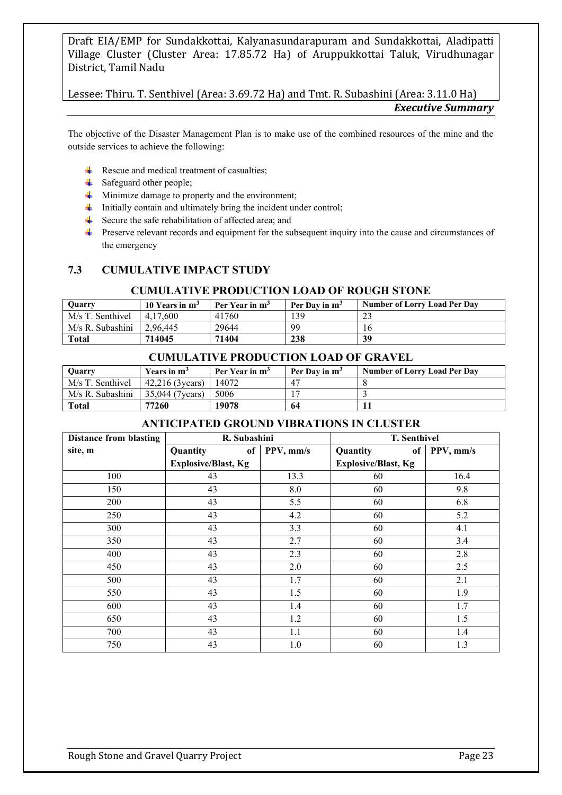Lessee: Thiru. T. Senthivel (Area: 3.69.72 Ha) and Tmt. R. Subashini (Area: 3.11.0 Ha) *Executive Summary*

The objective of the Disaster Management Plan is to make use of the combined resources of the mine and the outside services to achieve the following:

- $\overline{\phantom{a}}$  Rescue and medical treatment of casualties;
- $\overline{\phantom{a}}$  Safeguard other people;
- $\ddot{\text{ }+}\;$  Minimize damage to property and the environment;
- $\ddot{\phantom{a}}$  Initially contain and ultimately bring the incident under control;
- $\overline{\text{I}}$  Secure the safe rehabilitation of affected area; and
- Preserve relevant records and equipment for the subsequent inquiry into the cause and circumstances of the emergency

## **7.3 CUMULATIVE IMPACT STUDY**

#### **CUMULATIVE PRODUCTION LOAD OF ROUGH STONE**

| <b>Ouarry</b>    | 10 Years in m <sup>3</sup> | Per Year in m <sup>3</sup> | Per Day in m <sup>3</sup> | <b>Number of Lorry Load Per Day</b> |
|------------------|----------------------------|----------------------------|---------------------------|-------------------------------------|
| M/s T. Senthivel | 4.17.600                   | 41760                      | 139                       |                                     |
| M/s R. Subashini | 2.96.445                   | 29644                      | 99                        |                                     |
| <b>Total</b>     | 714045                     | 71404                      | 238                       | 39                                  |

#### **CUMULATIVE PRODUCTION LOAD OF GRAVEL**

| <b>Ouarry</b>    | Years in $m3$    | Per Year in m <sup>3</sup> | Per Day in $m^3$ | <b>Number of Lorry Load Per Day</b> |
|------------------|------------------|----------------------------|------------------|-------------------------------------|
| M/s T. Senthivel | 42.216 (3 vears) | 14072                      |                  |                                     |
| M/s R. Subashini | 35,044 (7 vears) | 5006                       |                  |                                     |
| Total            | 77260            | 19078                      | 64               |                                     |

#### **ANTICIPATED GROUND VIBRATIONS IN CLUSTER**

| <b>Distance from blasting</b> | R. Subashini               |           | T. Senthivel               |           |
|-------------------------------|----------------------------|-----------|----------------------------|-----------|
| site, m                       | Quantity<br>of             | PPV, mm/s | Quantity<br>of             | PPV, mm/s |
|                               | <b>Explosive/Blast, Kg</b> |           | <b>Explosive/Blast, Kg</b> |           |
| 100                           | 43                         | 13.3      | 60                         | 16.4      |
| 150                           | 43                         | 8.0       | 60                         | 9.8       |
| 200                           | 43                         | 5.5       | 60                         | 6.8       |
| 250                           | 43                         | 4.2       | 60                         | 5.2       |
| 300                           | 43                         | 3.3       | 60                         | 4.1       |
| 350                           | 43                         | 2.7       | 60                         | 3.4       |
| 400                           | 43                         | 2.3       | 60                         | 2.8       |
| 450                           | 43                         | 2.0       | 60                         | 2.5       |
| 500                           | 43                         | 1.7       | 60                         | 2.1       |
| 550                           | 43                         | 1.5       | 60                         | 1.9       |
| 600                           | 43                         | 1.4       | 60                         | 1.7       |
| 650                           | 43                         | 1.2       | 60                         | 1.5       |
| 700                           | 43                         | 1.1       | 60                         | 1.4       |
| 750                           | 43                         | 1.0       | 60                         | 1.3       |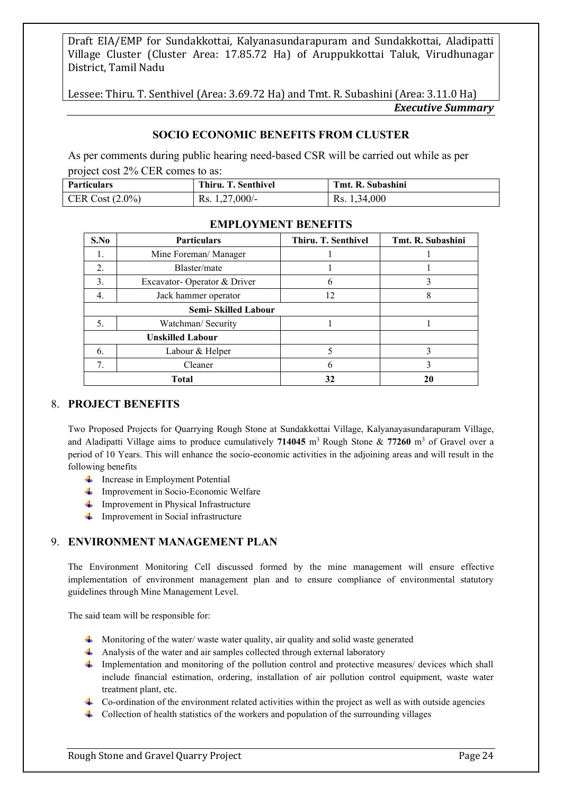Lessee: Thiru. T. Senthivel (Area: 3.69.72 Ha) and Tmt. R. Subashini (Area: 3.11.0 Ha) *Executive Summary*

#### **SOCIO ECONOMIC BENEFITS FROM CLUSTER**

As per comments during public hearing need-based CSR will be carried out while as per project cost 2% CER comes to as:

| Particulars        | Thiru. T. Senthivel | Tmt. R. Subashini |
|--------------------|---------------------|-------------------|
| CER Cost $(2.0\%)$ | Rs. $1,27,000/-$    | Rs. 1,34,000      |

| S.No                       | <b>Particulars</b>          | Thiru. T. Senthivel | Tmt. R. Subashini |
|----------------------------|-----------------------------|---------------------|-------------------|
| 1.                         | Mine Foreman/ Manager       |                     |                   |
| 2.                         | Blaster/mate                |                     |                   |
| 3.                         | Excavator-Operator & Driver | 6                   |                   |
| 4.                         | Jack hammer operator        | 12                  | 8                 |
| <b>Semi-Skilled Labour</b> |                             |                     |                   |
| 5.                         | Watchman/ Security          |                     |                   |
| <b>Unskilled Labour</b>    |                             |                     |                   |
| 6.                         | Labour & Helper             |                     |                   |
| 7.                         | Cleaner                     | 6                   |                   |
| <b>Total</b>               |                             | 32                  |                   |

#### **EMPLOYMENT BENEFITS**

#### 8. **PROJECT BENEFITS**

Two Proposed Projects for Quarrying Rough Stone at Sundakkottai Village, Kalyanayasundarapuram Village, and Aladipatti Village aims to produce cumulatively 714045 m<sup>3</sup> Rough Stone & 77260 m<sup>3</sup> of Gravel over a period of 10 Years. This will enhance the socio-economic activities in the adjoining areas and will result in the following benefits

- $\downarrow$  Increase in Employment Potential
- $\downarrow$  Improvement in Socio-Economic Welfare
- $\downarrow$  Improvement in Physical Infrastructure
- $\frac{1}{\sqrt{1-\frac{1}{\sqrt{1-\frac{1}{\sqrt{1-\frac{1}{\sqrt{1-\frac{1}{\sqrt{1-\frac{1}{\sqrt{1-\frac{1}{\sqrt{1-\frac{1}{\sqrt{1-\frac{1}{\sqrt{1-\frac{1}{\sqrt{1-\frac{1}{\sqrt{1-\frac{1}{\sqrt{1-\frac{1}{\sqrt{1-\frac{1}{\sqrt{1-\frac{1}{\sqrt{1-\frac{1}{\sqrt{1-\frac{1}{\sqrt{1-\frac{1}{\sqrt{1-\frac{1}{\sqrt{1-\frac{1}{\sqrt{1-\frac{1}{\sqrt{1-\frac{1}{\sqrt{1-\frac{1}{\sqrt{1-\frac{1}{\sqrt{1-\frac{1$

#### 9. **ENVIRONMENT MANAGEMENT PLAN**

The Environment Monitoring Cell discussed formed by the mine management will ensure effective implementation of environment management plan and to ensure compliance of environmental statutory guidelines through Mine Management Level.

The said team will be responsible for:

- $\ddot{\bullet}$  Monitoring of the water/ waste water quality, air quality and solid waste generated
- Analysis of the water and air samples collected through external laboratory
- Implementation and monitoring of the pollution control and protective measures/ devices which shall include financial estimation, ordering, installation of air pollution control equipment, waste water treatment plant, etc.
- $\uparrow$  Co-ordination of the environment related activities within the project as well as with outside agencies
- $\downarrow$  Collection of health statistics of the workers and population of the surrounding villages